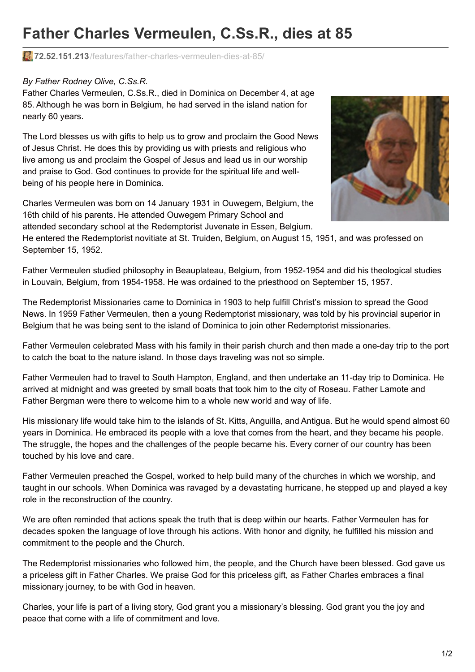## **Father Charles Vermeulen, C.Ss.R., dies at 85**

**72.52.151.213**[/features/father-charles-vermeulen-dies-at-85/](http://72.52.151.213/features/father-charles-vermeulen-dies-at-85/)

## *By Father Rodney Olive, C.Ss.R.*

Father Charles Vermeulen, C.Ss.R., died in Dominica on December 4, at age 85. Although he was born in Belgium, he had served in the island nation for nearly 60 years.

The Lord blesses us with gifts to help us to grow and proclaim the Good News of Jesus Christ. He does this by providing us with priests and religious who live among us and proclaim the Gospel of Jesus and lead us in our worship and praise to God. God continues to provide for the spiritual life and wellbeing of his people here in Dominica.

Charles Vermeulen was born on 14 January 1931 in Ouwegem, Belgium, the 16th child of his parents. He attended Ouwegem Primary School and attended secondary school at the Redemptorist Juvenate in Essen, Belgium.

He entered the Redemptorist novitiate at St. Truiden, Belgium, on August 15, 1951, and was professed on September 15, 1952.

Father Vermeulen studied philosophy in Beauplateau, Belgium, from 1952-1954 and did his theological studies in Louvain, Belgium, from 1954-1958. He was ordained to the priesthood on September 15, 1957.

The Redemptorist Missionaries came to Dominica in 1903 to help fulfill Christ's mission to spread the Good News. In 1959 Father Vermeulen, then a young Redemptorist missionary, was told by his provincial superior in Belgium that he was being sent to the island of Dominica to join other Redemptorist missionaries.

Father Vermeulen celebrated Mass with his family in their parish church and then made a one-day trip to the port to catch the boat to the nature island. In those days traveling was not so simple.

Father Vermeulen had to travel to South Hampton, England, and then undertake an 11-day trip to Dominica. He arrived at midnight and was greeted by small boats that took him to the city of Roseau. Father Lamote and Father Bergman were there to welcome him to a whole new world and way of life.

His missionary life would take him to the islands of St. Kitts, Anguilla, and Antigua. But he would spend almost 60 years in Dominica. He embraced its people with a love that comes from the heart, and they became his people. The struggle, the hopes and the challenges of the people became his. Every corner of our country has been touched by his love and care.

Father Vermeulen preached the Gospel, worked to help build many of the churches in which we worship, and taught in our schools. When Dominica was ravaged by a devastating hurricane, he stepped up and played a key role in the reconstruction of the country.

We are often reminded that actions speak the truth that is deep within our hearts. Father Vermeulen has for decades spoken the language of love through his actions. With honor and dignity, he fulfilled his mission and commitment to the people and the Church.

The Redemptorist missionaries who followed him, the people, and the Church have been blessed. God gave us a priceless gift in Father Charles. We praise God for this priceless gift, as Father Charles embraces a final missionary journey, to be with God in heaven.

Charles, your life is part of a living story, God grant you a missionary's blessing. God grant you the joy and peace that come with a life of commitment and love.